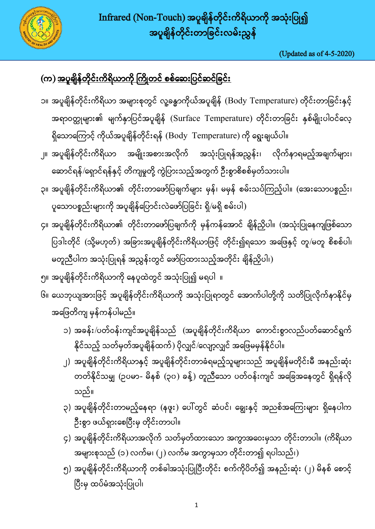

(Updated as of 4-5-2020)

## (က) <u>အပူချိန်တိုင်းကိရိယာကို ကြိုတင် စစ်ဆေးပြင်ဆင်ခြင်း</u>

- ၁။ အပူရိုန်တိုင်းကိရိယာ အများစုတွင် လူ့ခန္ဓာကိုယ်အပူရိုန် (Body Temperature) တိုင်းတာခြင်းနှင့် အရာဝတ္ထုများ၏ မျက်နှာပြင်အပူချိန် (Surface Temperature) တိုင်းတာခြင်း နှစ်မျိုးပါဝင်လေ့ ရှိသောကြောင့် ကိုယ်အပူချိန်တိုင်းရန် (Body Temperature) ကို ရွေးချယ်ပါ။
- ၂။ အပူချိန်တိုင်းကိရိယာ အမျိုးအစားအလိုက် အသုံးပြုရန်အညွှန်း၊ လိုက်နာရမည့်အချက်များ၊ ဆောင်ရန်/ရှောင်ရန်နှင့် တိကျမှုတို့ ကွဲပြားသည့်အတွက် ဦးစွာစိစစ်မှတ်သားပါ။
- ၃။ အပူရိုန်တိုင်းကိရိယာ၏ တိုင်းတာဖော်ပြချက်များ မှန်၊ မမှန် စမ်းသပ်ကြည့်ပါ။ (အေးသောပစ္စည်း၊ ပူသောပစ္စည်းများကို အပူချိန်ပြောင်းလဲဖော်ပြခြင်း ရှိ/မရှိ စမ်းပါ)
- ၄။ အပူရိုန်တိုင်းကိရိယာ၏ တိုင်းတာဖော်ပြချက်ကို မှန်ကန်အောင် ချိန်ညှိပါ။ (အသုံးပြုနေကျဖြစ်သော ပြဒါးတိုင် (သို့မဟုတ်) အခြားအပူချိန်တိုင်းကိရိယာဖြင့် တိုင်း၍ရသော အဖြေနှင့် တူ/မတူ စိစစ်ပါ၊ မတူညီပါက အသုံးပြုရန် အညွှန်းတွင် ဖော်ပြထားသည့်အတိုင်း ချိန်ညှိပါ၊)
- ၅။ အပူရိုန်တိုင်းကိရိယာကို နေပူထဲတွင် အသုံးပြု၍ မရပါ ။
- ၆။ ယေဘုယျအားဖြင့် အပူရိုန်တိုင်းကိရိယာကို အသုံးပြုရာတွင် အောက်ပါတို့ကို သတိပြုလိုက်နာနိုင်မှ အဖြေတိကျ မှန်ကန်ပါမည်။
	- ၁) အခန်း/ပတ်ဝန်းကျင်အပူချိန်သည် (အပူချိန်တိုင်းကိရိယာ ကောင်းစွာလည်ပတ်ဆောင်ရွက် နိုင်သည့် သတ်မှတ်အပူချိန်ထက်) ပိုလျှင်/လျော့လျှင် အဖြေမမှန်နိုင်ပါ။
	- ၂) အပူချိန်တိုင်းကိရိယာနှင့် အပူချိန်တိုင်းတာခံရမည့်သူများသည် အပူချိန်မတိုင်းမီ အနည်းဆုံး တတ်နိုင်သမျှ (ဥပမာ- မိနစ် (၃၀) ခန့်) တူညီသော ပတ်ဝန်းကျင် အခြေအနေတွင် ရှိရန်လို သည်။
	- ၃) အပူရိုန်တိုင်းတာမည့်နေရာ (နဖူး) ပေါ်တွင် ဆံပင်၊ ချွေးနှင့် အညစ်အကြေးများ ရှိနေပါက ဦးစွာ ဖယ်ရှားစေပြီးမှ တိုင်းတာပါ။
	- ၄) အပူရိုန်တိုင်းကိရိယာအလိုက် သတ်မှတ်ထားသော အကွာအဝေးမှသာ တိုင်းတာပါ။ (ကိရိယာ အများစုသည် (၁) လက်မ၊ (၂) လက်မ အကွာမှသာ တိုင်းတာ၍ ရပါသည်၊)
	- ၅) အပူရိုန်တိုင်းကိရိယာကို တစ်ခါအသုံးပြုပြီးတိုင်း စက်ကိုပိတ်၍ အနည်းဆုံး (၂) မိနစ် စောင့် ပြီးမှ ထပ်မံအသုံးပြုပါ၊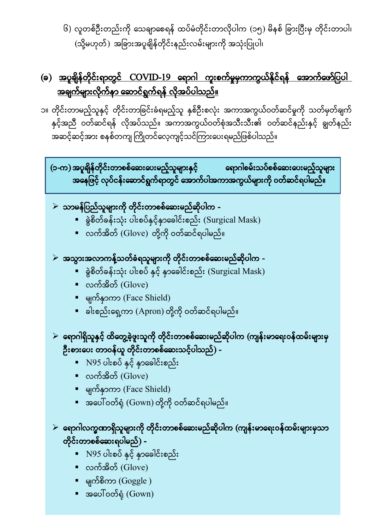၆) လူတစ်ဦးတည်းကို သေချာစေရန် ထပ်မံတိုင်းတာလိုပါက (၁၅) မိနစ် ခြားပြီးမှ တိုင်းတာပါ၊  $(\mathfrak{J}$ မဟုတ် $)$  အခြားအပူချိန်တိုင်းနည်းလမ်းများကို အသုံးပြုပါ၊

## (ခ) <u>အပူချိန်တိုင်းရာတွင် COVID-19 ရောဂါ ကူးစက်မှုမှကာကွယ်နိုင်ရန် အောက်ဖော်ပြပါ</u> <u>အချက်များလိုက်နာ ဆောင်ရွက်ရန် လိုအပ်ပါသည်။</u>

၁။ တိုင်းတာမည့်သူနှင့် တိုင်းတာခြင်းခံရမည့်သူ နှစ်ဦးစလုံး အကာအကွယ်ဝတ်ဆင်မှုကို သတ်မှတ်ချက် နှင့်အညီ ဝတ်ဆင်ရန် လိုအပ်သည်။ အကာအကွယ်ဝတ်စုံအသီးသီး၏ ဝတ်ဆင်နည်းနှင့် ချွတ်နည်း အဆင့်ဆင့်အား စနစ်တကျ ကြိုတင်လေ့ကျင့်သင်ကြားပေးရမည်ဖြစ်ပါသည်။

(၁-က) အပူချိန်တိုင်းတာစစ်ဆေးပေးမည့်သူများနှင့် ရောဂါစမ်းသပ်စစ်ဆေးပေးမည့်သူများ အနေဖြင့် လုပ်ငန်းဆောင်ရွက်ရာတွင် အောက်ပါအကာအကွယ်များကို ဝတ်ဆင်ရပါမည်။

- $\triangleright$ ာဘမန်ပြည်သူများကို တိုင်းတာစစ်ဆေးမည်ဆိုပါက -
	- နွဲစိတ်ခန်းသုံး ပါးစပ်နှင့်နှာခေါင်းစည်း (Surgical Mask)
	- လက်အိတ် (Glove) တို့ကို ဝတ်ဆင်ရပါမည်။
- $\triangleright$  အသွားအလာကန့်သတ်ခံရသူများကို တိုင်းတာစစ်ဆေးမည်ဆိုပါက -
	- ရွဲစိတ်ခန်းသုံး ပါးစပ် နှင့် နှာခေါင်းစည်း (Surgical Mask)
	- $\bullet$  လက်အိတ် (Glove)
	- က က (Face Shield)
	- **-** ခါးစည်းရှေ့ကာ (Apron) တို့ကို ဝတ်ဆင်ရပါမည်။
- $\triangleright$  ရောဂါရှိသူနှင့် ထိတွေ့ခဲ့ဖူးသူကို တိုင်းတာစစ်ဆေးမည်ဆိုပါက (ကျန်းမာရေးဝန်ထမ်းများမှ ဦးစားပေး တာဝန်ယူ တိုင်းတာစစ်ဆေးသင့်ပါသည်) -
	- N95 ပါးစပ်ံ နှင့် နှာခေါင်းစည်း
	- လက်အိတ်  $(Glove)$
	- မျက်နှာကာ (Face Shield)
	- အပေါ်ဝတ်ရုံ (Gown) တို့ကို ဝတ်ဆင်ရပါမည်။

## $\triangleright$  ရောဂါလက္ခဏာရှိသူများကို တိုင်းတာစစ်ဆေးမည်ဆိုပါက (ကျန်းမာရေးဝန်ထမ်းများမှသာ တိုင်းတာစစ်ဆေးရပါမည်) -

- N95 ပါးစပ်ံ နှင့် နှာခေါင်းစည်း
- $\bullet$  လက်အိတ် (Glove)
- မျက်စိကာ $(Goggle)$
- (Gown)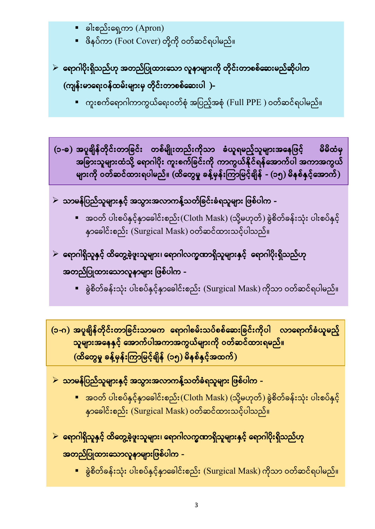- $\bullet$  ခါးစည်းရှေ့ကာ (Apron)
- = ဖိနပ်ကာ (Foot Cover) တို့ကို ဝတ်ဆင်ရပါမည်။
- $\triangleright$  ရောဂါပိုးရှိသည်ဟု အတည်ပြုထားသော လူနာများကို တိုင်းတာစစ်ဆေးမည်ဆိုပါက (ကျန်းမာရေးဝန်ထမ်းများမှ တိုင်းတာစစ်ဆေးပါ )-
	- ကူးစက်ရောဂါကာကွယ်ရေးဝတ်စုံ အပြည့်အစုံ (Full PPE ) ဝတ်ဆင်ရပါမည်။

(၁-ခ) အပူချိန်တိုင်းတာခြင်း တစ်မျိုးတည်းကိုသာ ခံယူရမည့်သူများအနေဖြင့် မိမိထံမှ ကား<br>အခြားသူများထံသို့ ရောဂါပိုး ကူးစက်ခြင်းကို ကာကွယ်နိုင်ရန်အောက်ပါ အကာအကွယ် များကို ဝတ်ဆင်ထားရပါမည်။ (ထိတွေမှု ခန့်မှန်းကြာမြင့်ချိန် - (၁၅) မိနစ်နှင့်အောက်)

- $\blacktriangleright$ ာဘမန်ပြည်သူများနှင့် အသွားအလာကန့်သတ်ခြင်းခံရသူများ ဖြစ်ပါက -
	- အဝတ် ပါးစပ်နှင့်နှာခေါင်းစည်း(Cloth Mask) (သို့မဟုတ်) ခွဲစိတ်ခန်းသုံး ပါးစပ်နှင့် နှာခေါင်းစည်း (Surgical Mask) ဝတ်ဆင်ထားသင့်ပါသည်။
- $\triangleright$  ရောဂါရှိသူနှင့် ထိတွေ့ခဲ့ဖူးသူများ၊ ရောဂါလက္ခဏာရှိသူများနှင့် ရောဂါပိုးရှိသည်ဟု အတည်ပြုထားသောလူနာများ ဖြစ်ပါက -
	- ခွဲစိတ်ခန်းသုံး ပါးစပ်နှင့်နှာခေါင်းစည်း (Surgical Mask) ကိုသာ ဝတ်ဆင်ရပါမည်။

(၁-ဂ) အပူချိန်တိုင်းတာခြင်းသာမက ရောဂါစမ်းသပ်စစ်ဆေးခြင်းကိုပါ လာရောက်ခံယူမည့် သူများအနေနှင့် အောက်ပါအကာအကွယ်များကို ဝတ်ဆင်ထားရမည်။  $\left($ ကိတွေမှု ခန့်မှန်းကြာမြင့်ချိန်  $\left($ ၁၅ $\right)$  မိနစ်နှင့်အထက် $\left)$ 

 $\triangleright$ ာသာမန်ပြည်သူများနှင့် အသွားအလာကန့်သတ်ခံရသူများ ဖြစ်ပါက –

- အဝတ် ပါးစပ်နှင့်နှာခေါင်းစည်း(Cloth Mask) (သို့မဟုတ်) ခွဲစိတ်ခန်းသုံး ပါးစပ်နှင့် နှာခေါင်းစည်း (Surgical Mask) ဝတ်ဆင်ထားသင့်ပါသည်။
- $\triangleright$  ရောဂါရှိသူနှင့် ထိတွေ့ခဲ့ဖူးသူများ၊ ရောဂါလက္ခဏာရှိသူများနှင့် ရောဂါပိုးရှိသည်ဟု <mark>အတည်ပြုထားသောလူနာများဖြစ်ပါက -</mark>
	- နွဲစိတ်ခန်းသုံး ပါးစပ်နှင့်နှာခေါင်းစည်း (Surgical Mask) ကိုသာ ဝတ်ဆင်ရပါမည်။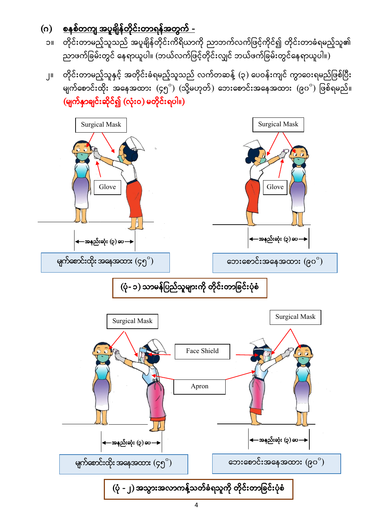

## (မျက်နှာချင်းဆိုင်၍ (လုံးဝ) မတိုင်းရပါ။)

- ၂။ တိုင်းတာမည့်သူနှင့် အတိုင်းခံရမည့်သူသည် လက်တဆန့် (၃) ပေဝန်းကျင် ကွာဝေးရမည်ဖြစ်ပြီး မျက်စောင်းထိုး အနေအထား (၄၅ $^{\circ})$  (သို့မဟုတ်) ဘေးစောင်းအနေအထား (၉၀ $^{\circ})$   $\lceil$
- ၁။ တိုင်းတာမည့်သူသည် အပူချိန်တိုင်းကိရိယာကို ညာဘက်လက်ဖြင့်ကိုင်၍ တိုင်းတာခံရမည့်သူ၏ -<br>ညာဖက်ခြမ်းတွင် နေရာယူပါ။ (ဘယ်လက်ဖြင့်တိုင်းလျှင် ဘယ်ဖက်ခြမ်းတွင်နေရာယူပါ။)
- (ဂ) <u>စနစ်တကျ အပူချိန်တိုင်းတာရန်အတွက် -</u>